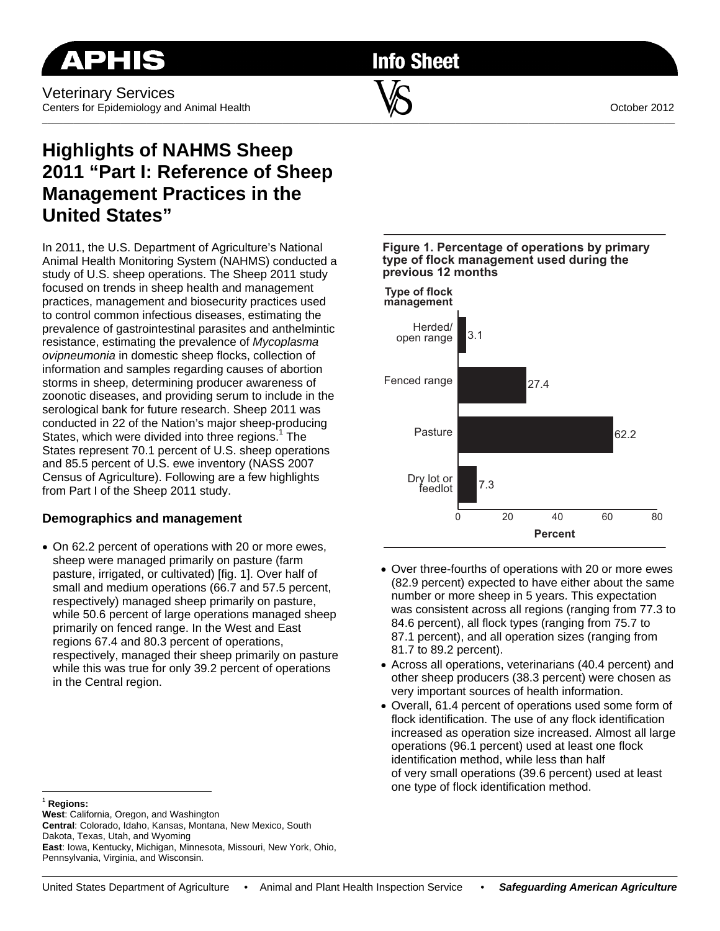**Info Sheet** 

# **Highlights of NAHMS Sheep 2011 "Part I: Reference of Sheep Management Practices in the United States"**

In 2011, the U.S. Department of Agriculture's National Animal Health Monitoring System (NAHMS) conducted a study of U.S. sheep operations. The Sheep 2011 study focused on trends in sheep health and management practices, management and biosecurity practices used to control common infectious diseases, estimating the prevalence of gastrointestinal parasites and anthelmintic resistance, estimating the prevalence of *Mycoplasma ovipneumonia* in domestic sheep flocks, collection of information and samples regarding causes of abortion storms in sheep, determining producer awareness of zoonotic diseases, and providing serum to include in the serological bank for future research. Sheep 2011 was conducted in 22 of the Nation's major sheep-producing States, which were divided into three regions.<sup>1</sup> The States represent 70.1 percent of U.S. sheep operations and 85.5 percent of U.S. ewe inventory (NASS 2007 Census of Agriculture). Following are a few highlights from Part I of the Sheep 2011 study.

## **Demographics and management**

 On 62.2 percent of operations with 20 or more ewes, sheep were managed primarily on pasture (farm pasture, irrigated, or cultivated) [fig. 1]. Over half of small and medium operations (66.7 and 57.5 percent, respectively) managed sheep primarily on pasture, while 50.6 percent of large operations managed sheep primarily on fenced range. In the West and East regions 67.4 and 80.3 percent of operations, respectively, managed their sheep primarily on pasture while this was true for only 39.2 percent of operations in the Central region.



**Figure 1. Percentage of operations by primary** 

- Over three-fourths of operations with 20 or more ewes (82.9 percent) expected to have either about the same number or more sheep in 5 years. This expectation was consistent across all regions (ranging from 77.3 to 84.6 percent), all flock types (ranging from 75.7 to 87.1 percent), and all operation sizes (ranging from 81.7 to 89.2 percent).
- Across all operations, veterinarians (40.4 percent) and other sheep producers (38.3 percent) were chosen as very important sources of health information.
- Overall, 61.4 percent of operations used some form of flock identification. The use of any flock identification increased as operation size increased. Almost all large operations (96.1 percent) used at least one flock identification method, while less than half of very small operations (39.6 percent) used at least one type of flock identification method.

 $\overline{a}$ <sup>1</sup> **Regions:**

**West**: California, Oregon, and Washington

**Central**: Colorado, Idaho, Kansas, Montana, New Mexico, South Dakota, Texas, Utah, and Wyoming **East**: Iowa, Kentucky, Michigan, Minnesota, Missouri, New York, Ohio, Pennsylvania, Virginia, and Wisconsin.